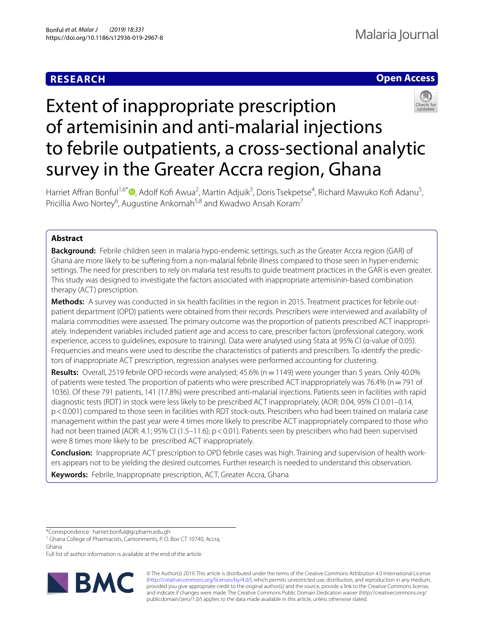# **RESEARCH**





# Extent of inappropriate prescription of artemisinin and anti-malarial injections to febrile outpatients, a cross-sectional analytic survey in the Greater Accra region, Ghana

Harriet Affran Bonful<sup>1,6\*</sup><sup>®</sup>[,](http://orcid.org/0000-0003-0069-3241) Adolf Kofi Awua<sup>2</sup>, Martin Adjuik<sup>3</sup>, Doris Tsekpetse<sup>4</sup>, Richard Mawuko Kofi Adanu<sup>5</sup>, Pricillia Awo Nortey<sup>6</sup>, Augustine Ankomah<sup>5,8</sup> and Kwadwo Ansah Koram<sup>7</sup>

## **Abstract**

**Background:** Febrile children seen in malaria hypo-endemic settings, such as the Greater Accra region (GAR) of Ghana are more likely to be sufering from a non-malarial febrile illness compared to those seen in hyper-endemic settings. The need for prescribers to rely on malaria test results to guide treatment practices in the GAR is even greater. This study was designed to investigate the factors associated with inappropriate artemisinin-based combination therapy (ACT) prescription.

**Methods:** A survey was conducted in six health facilities in the region in 2015. Treatment practices for febrile outpatient department (OPD) patients were obtained from their records. Prescribers were interviewed and availability of malaria commodities were assessed. The primary outcome was the proportion of patients prescribed ACT inappropriately. Independent variables included patient age and access to care, prescriber factors (professional category, work experience, access to guidelines, exposure to training). Data were analysed using Stata at 95% CI (α-value of 0.05). Frequencies and means were used to describe the characteristics of patients and prescribers. To identify the predictors of inappropriate ACT prescription, regression analyses were performed accounting for clustering.

**Results:** Overall, 2519 febrile OPD records were analysed; 45.6% (n = 1149) were younger than 5 years. Only 40.0% of patients were tested. The proportion of patients who were prescribed ACT inappropriately was 76.4% ( $n=791$  of 1036). Of these 791 patients, 141 (17.8%) were prescribed anti-malarial injections. Patients seen in facilities with rapid diagnostic tests (RDT) in stock were less likely to be prescribed ACT inappropriately, (AOR: 0.04, 95% CI 0.01–0.14, p<0.001) compared to those seen in facilities with RDT stock-outs. Prescribers who had been trained on malaria case management within the past year were 4 times more likely to prescribe ACT inappropriately compared to those who had not been trained (AOR: 4.1; 95% CI (1.5–11.6); p < 0.01). Patients seen by prescribers who had been supervised were 8 times more likely to be prescribed ACT inappropriately.

**Conclusion:** Inappropriate ACT prescription to OPD febrile cases was high. Training and supervision of health workers appears not to be yielding the desired outcomes. Further research is needed to understand this observation.

**Keywords:** Febrile, Inappropriate prescription, ACT, Greater Accra, Ghana

\*Correspondence: harriet.bonful@gcpharm.edu.gh

Ghana

Full list of author information is available at the end of the article



© The Author(s) 2019. This article is distributed under the terms of the Creative Commons Attribution 4.0 International License [\(http://creativecommons.org/licenses/by/4.0/\)](http://creativecommons.org/licenses/by/4.0/), which permits unrestricted use, distribution, and reproduction in any medium, provided you give appropriate credit to the original author(s) and the source, provide a link to the Creative Commons license, and indicate if changes were made. The Creative Commons Public Domain Dedication waiver (http://creativecommons.org/ publicdomain/zero/1.0/) applies to the data made available in this article, unless otherwise stated.

<sup>&</sup>lt;sup>1</sup> Ghana College of Pharmacists, Cantonments, P.O. Box CT 10740, Accra,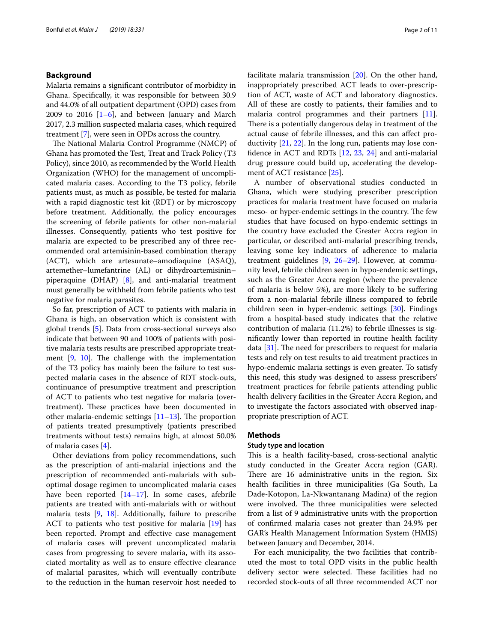## **Background**

Malaria remains a signifcant contributor of morbidity in Ghana. Specifcally, it was responsible for between 30.9 and 44.0% of all outpatient department (OPD) cases from 2009 to 2016  $[1-6]$  $[1-6]$ , and between January and March 2017, 2.3 million suspected malaria cases, which required treatment [[7\]](#page-9-2), were seen in OPDs across the country.

The National Malaria Control Programme (NMCP) of Ghana has promoted the Test, Treat and Track Policy (T3 Policy), since 2010, as recommended by the World Health Organization (WHO) for the management of uncomplicated malaria cases. According to the T3 policy, febrile patients must, as much as possible, be tested for malaria with a rapid diagnostic test kit (RDT) or by microscopy before treatment. Additionally, the policy encourages the screening of febrile patients for other non-malarial illnesses. Consequently, patients who test positive for malaria are expected to be prescribed any of three recommended oral artemisinin-based combination therapy (ACT), which are artesunate–amodiaquine (ASAQ), artemether–lumefantrine (AL) or dihydroartemisinin– piperaquine (DHAP) [[8](#page-9-3)], and anti-malarial treatment must generally be withheld from febrile patients who test negative for malaria parasites.

So far, prescription of ACT to patients with malaria in Ghana is high, an observation which is consistent with global trends [[5\]](#page-9-4). Data from cross-sectional surveys also indicate that between 90 and 100% of patients with positive malaria tests results are prescribed appropriate treatment  $[9, 10]$  $[9, 10]$  $[9, 10]$ . The challenge with the implementation of the T3 policy has mainly been the failure to test suspected malaria cases in the absence of RDT stock-outs, continuance of presumptive treatment and prescription of ACT to patients who test negative for malaria (overtreatment). These practices have been documented in other malaria-endemic settings  $[11-13]$  $[11-13]$ . The proportion of patients treated presumptively (patients prescribed treatments without tests) remains high, at almost 50.0% of malaria cases [[4\]](#page-9-9).

Other deviations from policy recommendations, such as the prescription of anti-malarial injections and the prescription of recommended anti-malarials with suboptimal dosage regimen to uncomplicated malaria cases have been reported [[14](#page-9-10)-17]. In some cases, afebrile patients are treated with anti-malarials with or without malaria tests [\[9,](#page-9-5) [18\]](#page-9-12). Additionally, failure to prescribe ACT to patients who test positive for malaria [[19\]](#page-9-13) has been reported. Prompt and efective case management of malaria cases will prevent uncomplicated malaria cases from progressing to severe malaria, with its associated mortality as well as to ensure efective clearance of malarial parasites, which will eventually contribute to the reduction in the human reservoir host needed to facilitate malaria transmission [\[20](#page-9-14)]. On the other hand, inappropriately prescribed ACT leads to over-prescription of ACT, waste of ACT and laboratory diagnostics. All of these are costly to patients, their families and to malaria control programmes and their partners [\[11](#page-9-7)]. There is a potentially dangerous delay in treatment of the actual cause of febrile illnesses, and this can afect productivity [[21](#page-9-15), [22](#page-9-16)]. In the long run, patients may lose confdence in ACT and RDTs [\[12](#page-9-17), [23,](#page-9-18) [24\]](#page-9-19) and anti-malarial drug pressure could build up, accelerating the development of ACT resistance [\[25](#page-9-20)].

A number of observational studies conducted in Ghana, which were studying prescriber prescription practices for malaria treatment have focused on malaria meso- or hyper-endemic settings in the country. The few studies that have focused on hypo-endemic settings in the country have excluded the Greater Accra region in particular, or described anti-malarial prescribing trends, leaving some key indicators of adherence to malaria treatment guidelines [[9,](#page-9-5) [26–](#page-9-21)[29](#page-9-22)]. However, at community level, febrile children seen in hypo-endemic settings, such as the Greater Accra region (where the prevalence of malaria is below 5%), are more likely to be sufering from a non-malarial febrile illness compared to febrile children seen in hyper-endemic settings [[30\]](#page-9-23). Findings from a hospital-based study indicates that the relative contribution of malaria (11.2%) to febrile illnesses is signifcantly lower than reported in routine health facility data  $[31]$ . The need for prescribers to request for malaria tests and rely on test results to aid treatment practices in hypo-endemic malaria settings is even greater. To satisfy this need, this study was designed to assess prescribers' treatment practices for febrile patients attending public health delivery facilities in the Greater Accra Region, and to investigate the factors associated with observed inappropriate prescription of ACT.

## **Methods**

## **Study type and location**

This is a health facility-based, cross-sectional analytic study conducted in the Greater Accra region (GAR). There are 16 administrative units in the region. Six health facilities in three municipalities (Ga South, La Dade-Kotopon, La-Nkwantanang Madina) of the region were involved. The three municipalities were selected from a list of 9 administrative units with the proportion of confrmed malaria cases not greater than 24.9% per GAR's Health Management Information System (HMIS) between January and December, 2014.

For each municipality, the two facilities that contributed the most to total OPD visits in the public health delivery sector were selected. These facilities had no recorded stock-outs of all three recommended ACT nor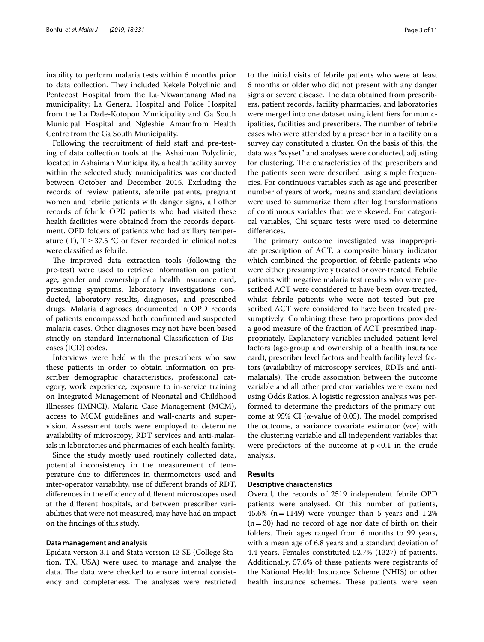inability to perform malaria tests within 6 months prior to data collection. They included Kekele Polyclinic and Pentecost Hospital from the La-Nkwantanang Madina municipality; La General Hospital and Police Hospital from the La Dade-Kotopon Municipality and Ga South Municipal Hospital and Ngleshie Amamfrom Health Centre from the Ga South Municipality.

Following the recruitment of field staff and pre-testing of data collection tools at the Ashaiman Polyclinic, located in Ashaiman Municipality, a health facility survey within the selected study municipalities was conducted between October and December 2015. Excluding the records of review patients, afebrile patients, pregnant women and febrile patients with danger signs, all other records of febrile OPD patients who had visited these health facilities were obtained from the records department. OPD folders of patients who had axillary temperature (T),  $T \geq 37.5$  °C or fever recorded in clinical notes were classifed as febrile.

The improved data extraction tools (following the pre-test) were used to retrieve information on patient age, gender and ownership of a health insurance card, presenting symptoms, laboratory investigations conducted, laboratory results, diagnoses, and prescribed drugs. Malaria diagnoses documented in OPD records of patients encompassed both confrmed and suspected malaria cases. Other diagnoses may not have been based strictly on standard International Classifcation of Diseases (ICD) codes.

Interviews were held with the prescribers who saw these patients in order to obtain information on prescriber demographic characteristics, professional category, work experience, exposure to in-service training on Integrated Management of Neonatal and Childhood Illnesses (IMNCI), Malaria Case Management (MCM), access to MCM guidelines and wall-charts and supervision. Assessment tools were employed to determine availability of microscopy, RDT services and anti-malarials in laboratories and pharmacies of each health facility.

Since the study mostly used routinely collected data, potential inconsistency in the measurement of temperature due to diferences in thermometers used and inter-operator variability, use of diferent brands of RDT, differences in the efficiency of different microscopes used at the diferent hospitals, and between prescriber variabilities that were not measured, may have had an impact on the fndings of this study.

## **Data management and analysis**

Epidata version 3.1 and Stata version 13 SE (College Station, TX, USA) were used to manage and analyse the data. The data were checked to ensure internal consistency and completeness. The analyses were restricted to the initial visits of febrile patients who were at least 6 months or older who did not present with any danger signs or severe disease. The data obtained from prescribers, patient records, facility pharmacies, and laboratories were merged into one dataset using identifers for municipalities, facilities and prescribers. The number of febrile cases who were attended by a prescriber in a facility on a survey day constituted a cluster. On the basis of this, the data was "svyset" and analyses were conducted, adjusting for clustering. The characteristics of the prescribers and the patients seen were described using simple frequencies. For continuous variables such as age and prescriber number of years of work, means and standard deviations were used to summarize them after log transformations of continuous variables that were skewed. For categorical variables, Chi square tests were used to determine diferences.

The primary outcome investigated was inappropriate prescription of ACT, a composite binary indicator which combined the proportion of febrile patients who were either presumptively treated or over-treated. Febrile patients with negative malaria test results who were prescribed ACT were considered to have been over-treated, whilst febrile patients who were not tested but prescribed ACT were considered to have been treated presumptively. Combining these two proportions provided a good measure of the fraction of ACT prescribed inappropriately. Explanatory variables included patient level factors (age-group and ownership of a health insurance card), prescriber level factors and health facility level factors (availability of microscopy services, RDTs and antimalarials). The crude association between the outcome variable and all other predictor variables were examined using Odds Ratios. A logistic regression analysis was performed to determine the predictors of the primary outcome at 95% CI (α-value of 0.05). The model comprised the outcome, a variance covariate estimator (vce) with the clustering variable and all independent variables that were predictors of the outcome at  $p < 0.1$  in the crude analysis.

## **Results**

## **Descriptive characteristics**

Overall, the records of 2519 independent febrile OPD patients were analysed. Of this number of patients, 45.6% ( $n=1149$ ) were younger than 5 years and 1.2%  $(n=30)$  had no record of age nor date of birth on their folders. Their ages ranged from 6 months to 99 years, with a mean age of 6.8 years and a standard deviation of 4.4 years. Females constituted 52.7% (1327) of patients. Additionally, 57.6% of these patients were registrants of the National Health Insurance Scheme (NHIS) or other health insurance schemes. These patients were seen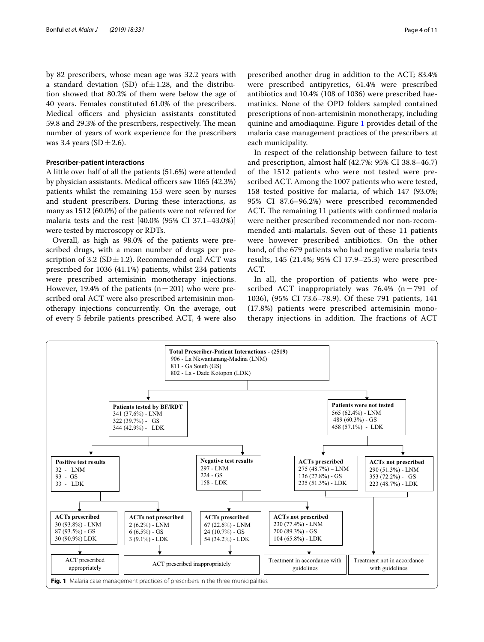by 82 prescribers, whose mean age was 32.2 years with a standard deviation (SD) of  $\pm$ 1.28, and the distribution showed that 80.2% of them were below the age of 40 years. Females constituted 61.0% of the prescribers. Medical officers and physician assistants constituted 59.8 and 29.3% of the prescribers, respectively. The mean number of years of work experience for the prescribers was 3.4 years (SD  $\pm$  2.6).

## **Prescriber‑patient interactions**

A little over half of all the patients (51.6%) were attended by physician assistants. Medical officers saw 1065 (42.3%) patients whilst the remaining 153 were seen by nurses and student prescribers. During these interactions, as many as 1512 (60.0%) of the patients were not referred for malaria tests and the rest [40.0% (95% CI 37.1–43.0%)] were tested by microscopy or RDTs.

Overall, as high as 98.0% of the patients were prescribed drugs, with a mean number of drugs per prescription of 3.2 ( $SD \pm 1.2$ ). Recommended oral ACT was prescribed for 1036 (41.1%) patients, whilst 234 patients were prescribed artemisinin monotherapy injections. However, 19.4% of the patients  $(n=201)$  who were prescribed oral ACT were also prescribed artemisinin monotherapy injections concurrently. On the average, out of every 5 febrile patients prescribed ACT, 4 were also

prescribed another drug in addition to the ACT; 83.4% were prescribed antipyretics, 61.4% were prescribed antibiotics and 10.4% (108 of 1036) were prescribed haematinics. None of the OPD folders sampled contained prescriptions of non-artemisinin monotherapy, including quinine and amodiaquine. Figure [1](#page-3-0) provides detail of the malaria case management practices of the prescribers at each municipality.

In respect of the relationship between failure to test and prescription, almost half (42.7%: 95% CI 38.8–46.7) of the 1512 patients who were not tested were prescribed ACT. Among the 1007 patients who were tested, 158 tested positive for malaria, of which 147 (93.0%; 95% CI 87.6–96.2%) were prescribed recommended ACT. The remaining 11 patients with confirmed malaria were neither prescribed recommended nor non-recommended anti-malarials. Seven out of these 11 patients were however prescribed antibiotics. On the other hand, of the 679 patients who had negative malaria tests results, 145 (21.4%; 95% CI 17.9–25.3) were prescribed ACT.

In all, the proportion of patients who were prescribed ACT inappropriately was  $76.4\%$  (n=791 of 1036), (95% CI 73.6–78.9). Of these 791 patients, 141 (17.8%) patients were prescribed artemisinin monotherapy injections in addition. The fractions of ACT

<span id="page-3-0"></span>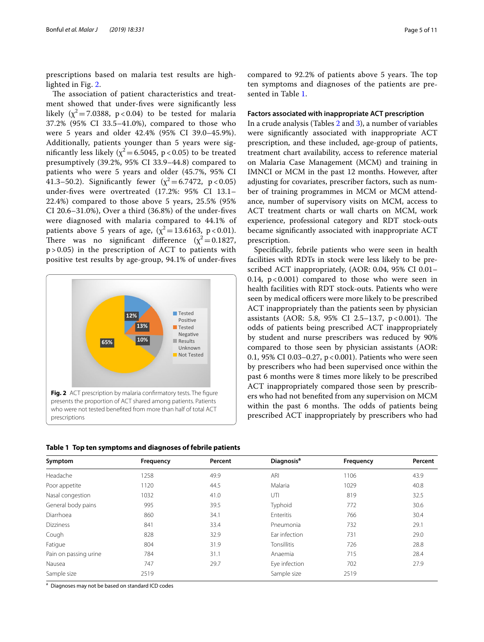prescriptions based on malaria test results are highlighted in Fig. [2](#page-4-0).

The association of patient characteristics and treatment showed that under-fves were signifcantly less likely ( $\chi^2$  = 7.0388, p < 0.04) to be tested for malaria 37.2% (95% CI 33.5–41.0%), compared to those who were 5 years and older 42.4% (95% CI 39.0–45.9%). Additionally, patients younger than 5 years were significantly less likely ( $\chi^2$  = 6.5045, p < 0.05) to be treated presumptively (39.2%, 95% CI 33.9–44.8) compared to patients who were 5 years and older (45.7%, 95% CI 41.3–50.2). Significantly fewer  $(x^2 = 6.7472, p < 0.05)$ under-fves were overtreated (17.2%: 95% CI 13.1– 22.4%) compared to those above 5 years, 25.5% (95% CI 20.6–31.0%), Over a third (36.8%) of the under-fves were diagnosed with malaria compared to 44.1% of patients above 5 years of age,  $(\chi^2 = 13.6163, \, p < 0.01)$ . There was no significant difference  $(\chi^2 = 0.1827,$  $p > 0.05$ ) in the prescription of ACT to patients with positive test results by age-group, 94.1% of under-fves



<span id="page-4-1"></span><span id="page-4-0"></span>**Table 1 Top ten symptoms and diagnoses of febrile patients**

compared to 92.2% of patients above 5 years. The top ten symptoms and diagnoses of the patients are presented in Table [1.](#page-4-1)

## **Factors associated with inappropriate ACT prescription**

In a crude analysis (Tables [2](#page-5-0) and [3](#page-6-0)), a number of variables were signifcantly associated with inappropriate ACT prescription, and these included, age-group of patients, treatment chart availability, access to reference material on Malaria Case Management (MCM) and training in IMNCI or MCM in the past 12 months. However, after adjusting for covariates, prescriber factors, such as number of training programmes in MCM or MCM attendance, number of supervisory visits on MCM, access to ACT treatment charts or wall charts on MCM, work experience, professional category and RDT stock-outs became signifcantly associated with inappropriate ACT prescription.

Specifcally, febrile patients who were seen in health facilities with RDTs in stock were less likely to be prescribed ACT inappropriately, (AOR: 0.04, 95% CI 0.01– 0.14,  $p < 0.001$ ) compared to those who were seen in health facilities with RDT stock-outs. Patients who were seen by medical officers were more likely to be prescribed ACT inappropriately than the patients seen by physician assistants (AOR: 5.8, 95% CI 2.5-13.7,  $p < 0.001$ ). The odds of patients being prescribed ACT inappropriately by student and nurse prescribers was reduced by 90% compared to those seen by physician assistants (AOR: 0.1, 95% CI 0.03-0.27, p < 0.001). Patients who were seen by prescribers who had been supervised once within the past 6 months were 8 times more likely to be prescribed ACT inappropriately compared those seen by prescribers who had not benefted from any supervision on MCM within the past 6 months. The odds of patients being prescribed ACT inappropriately by prescribers who had

| Symptom               | Frequency | Percent | <b>Diagnosis<sup>a</sup></b> | Frequency | Percent |
|-----------------------|-----------|---------|------------------------------|-----------|---------|
| Headache              | 1258      | 49.9    | ARI                          | 1106      | 43.9    |
| Poor appetite         | 1120      | 44.5    | Malaria                      | 1029      | 40.8    |
| Nasal congestion      | 1032      | 41.0    | UTI                          | 819       | 32.5    |
| General body pains    | 995       | 39.5    | Typhoid                      | 772       | 30.6    |
| Diarrhoea             | 860       | 34.1    | Enteritis                    | 766       | 30.4    |
| <b>Dizziness</b>      | 841       | 33.4    | Pneumonia                    | 732       | 29.1    |
| Cough                 | 828       | 32.9    | Ear infection                | 731       | 29.0    |
| Fatigue               | 804       | 31.9    | <b>Tonsillitis</b>           | 726       | 28.8    |
| Pain on passing urine | 784       | 31.1    | Anaemia                      | 715       | 28.4    |
| Nausea                | 747       | 29.7    | Eye infection                | 702       | 27.9    |
| Sample size           | 2519      |         | Sample size                  | 2519      |         |
| $2 - 1$               |           |         |                              |           |         |

<sup>a</sup> Diagnoses may not be based on standard ICD codes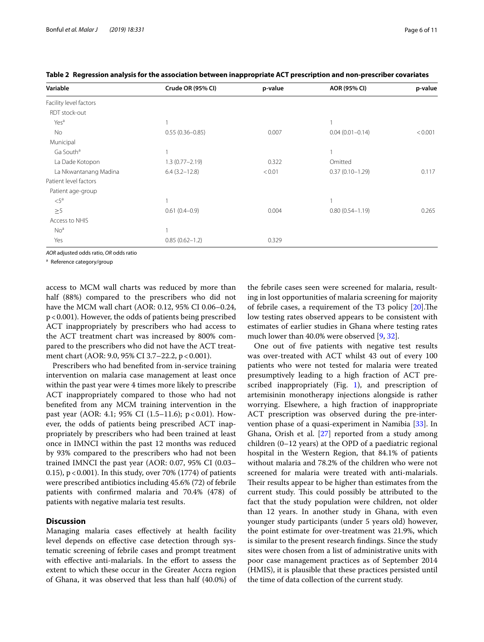| Crude OR (95% CI)   | p-value | AOR (95% CI)        | p-value |
|---------------------|---------|---------------------|---------|
|                     |         |                     |         |
|                     |         |                     |         |
|                     |         |                     |         |
| $0.55(0.36 - 0.85)$ | 0.007   | $0.04(0.01 - 0.14)$ | < 0.001 |
|                     |         |                     |         |
|                     |         |                     |         |
| $1.3(0.77 - 2.19)$  | 0.322   | Omitted             |         |
| $6.4(3.2 - 12.8)$   | < 0.01  | $0.37(0.10 - 1.29)$ | 0.117   |
|                     |         |                     |         |
|                     |         |                     |         |
|                     |         |                     |         |
| $0.61(0.4-0.9)$     | 0.004   | $0.80(0.54 - 1.19)$ | 0.265   |
|                     |         |                     |         |
|                     |         |                     |         |
| $0.85(0.62 - 1.2)$  | 0.329   |                     |         |
|                     |         |                     |         |

<span id="page-5-0"></span>**Table 2 Regression analysis for the association between inappropriate ACT prescription and non-prescriber covariates**

*AOR* adjusted odds ratio, *OR* odds ratio

a Reference category/group

access to MCM wall charts was reduced by more than half (88%) compared to the prescribers who did not have the MCM wall chart (AOR: 0.12, 95% CI 0.06–0.24, p<0.001). However, the odds of patients being prescribed ACT inappropriately by prescribers who had access to the ACT treatment chart was increased by 800% compared to the prescribers who did not have the ACT treatment chart (AOR: 9.0, 95% CI 3.7-22.2, p < 0.001).

Prescribers who had benefted from in-service training intervention on malaria case management at least once within the past year were 4 times more likely to prescribe ACT inappropriately compared to those who had not benefted from any MCM training intervention in the past year (AOR: 4.1; 95% CI (1.5–11.6);  $p < 0.01$ ). However, the odds of patients being prescribed ACT inappropriately by prescribers who had been trained at least once in IMNCI within the past 12 months was reduced by 93% compared to the prescribers who had not been trained IMNCI the past year (AOR: 0.07, 95% CI (0.03– 0.15),  $p < 0.001$ ). In this study, over 70% (1774) of patients were prescribed antibiotics including 45.6% (72) of febrile patients with confrmed malaria and 70.4% (478) of patients with negative malaria test results.

## **Discussion**

Managing malaria cases efectively at health facility level depends on efective case detection through systematic screening of febrile cases and prompt treatment with effective anti-malarials. In the effort to assess the extent to which these occur in the Greater Accra region of Ghana, it was observed that less than half (40.0%) of

the febrile cases seen were screened for malaria, resulting in lost opportunities of malaria screening for majority of febrile cases, a requirement of the T3 policy  $[20]$  $[20]$  $[20]$ . The low testing rates observed appears to be consistent with estimates of earlier studies in Ghana where testing rates much lower than 40.0% were observed [[9,](#page-9-5) [32](#page-9-25)].

One out of fve patients with negative test results was over-treated with ACT whilst 43 out of every 100 patients who were not tested for malaria were treated presumptively leading to a high fraction of ACT prescribed inappropriately (Fig. [1](#page-3-0)), and prescription of artemisinin monotherapy injections alongside is rather worrying. Elsewhere, a high fraction of inappropriate ACT prescription was observed during the pre-intervention phase of a quasi-experiment in Namibia [\[33](#page-9-26)]. In Ghana, Orish et al. [\[27](#page-9-27)] reported from a study among children (0–12 years) at the OPD of a paediatric regional hospital in the Western Region, that 84.1% of patients without malaria and 78.2% of the children who were not screened for malaria were treated with anti-malarials. Their results appear to be higher than estimates from the current study. This could possibly be attributed to the fact that the study population were children, not older than 12 years. In another study in Ghana, with even younger study participants (under 5 years old) however, the point estimate for over-treatment was 21.9%, which is similar to the present research fndings. Since the study sites were chosen from a list of administrative units with poor case management practices as of September 2014 (HMIS), it is plausible that these practices persisted until the time of data collection of the current study.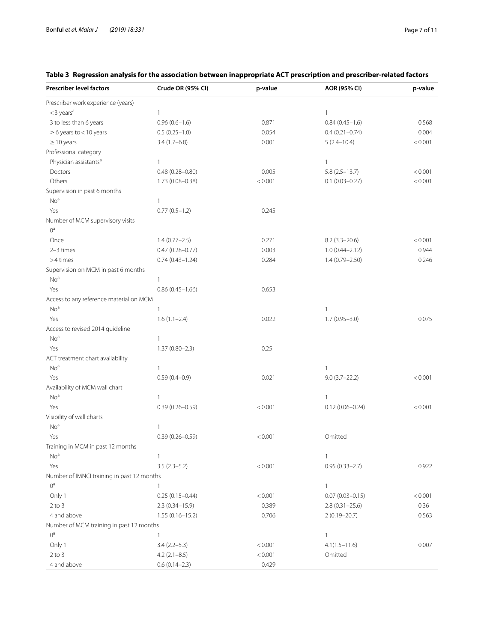| <b>Prescriber level factors</b>            | Crude OR (95% CI)   | p-value | AOR (95% CI)        | p-value |
|--------------------------------------------|---------------------|---------|---------------------|---------|
| Prescriber work experience (years)         |                     |         |                     |         |
| $<$ 3 years <sup>a</sup>                   | $\mathbf{1}$        |         | 1                   |         |
| 3 to less than 6 years                     | $0.96(0.6 - 1.6)$   | 0.871   | $0.84(0.45 - 1.6)$  | 0.568   |
| $\geq$ 6 years to < 10 years               | $0.5(0.25-1.0)$     | 0.054   | $0.4(0.21 - 0.74)$  | 0.004   |
| $\geq$ 10 years                            | $3.4(1.7-6.8)$      | 0.001   | $5(2.4 - 10.4)$     | < 0.001 |
| Professional category                      |                     |         |                     |         |
| Physician assistants <sup>a</sup>          | $\mathbf{1}$        |         | 1                   |         |
| <b>Doctors</b>                             | $0.48(0.28 - 0.80)$ | 0.005   | $5.8(2.5 - 13.7)$   | < 0.001 |
| Others                                     | 1.73 (0.08-0.38)    | < 0.001 | $0.1 (0.03 - 0.27)$ | < 0.001 |
| Supervision in past 6 months               |                     |         |                     |         |
| No <sup>a</sup>                            | 1                   |         |                     |         |
| Yes                                        | $0.77(0.5-1.2)$     | 0.245   |                     |         |
| Number of MCM supervisory visits           |                     |         |                     |         |
| O <sup>a</sup>                             |                     |         |                     |         |
| Once                                       | $1.4(0.77 - 2.5)$   | 0.271   | $8.2(3.3 - 20.6)$   | < 0.001 |
| 2-3 times                                  | $0.47(0.28 - 0.77)$ | 0.003   | $1.0(0.44 - 2.12)$  | 0.944   |
| >4 times                                   | $0.74(0.43 - 1.24)$ | 0.284   | $1.4(0.79 - 2.50)$  | 0.246   |
| Supervision on MCM in past 6 months        |                     |         |                     |         |
| No <sup>a</sup>                            | $\mathbf{1}$        |         |                     |         |
| Yes                                        | $0.86(0.45 - 1.66)$ | 0.653   |                     |         |
| Access to any reference material on MCM    |                     |         |                     |         |
| No <sup>a</sup>                            | $\mathbf{1}$        |         | 1                   |         |
| Yes                                        | $1.6(1.1 - 2.4)$    | 0.022   | $1.7(0.95 - 3.0)$   | 0.075   |
| Access to revised 2014 guideline           |                     |         |                     |         |
| No <sup>a</sup>                            | $\mathbf{1}$        |         |                     |         |
| Yes                                        | $1.37(0.80 - 2.3)$  | 0.25    |                     |         |
| ACT treatment chart availability           |                     |         |                     |         |
| No <sup>a</sup>                            | $\mathbf{1}$        |         | 1                   |         |
| Yes                                        | $0.59(0.4 - 0.9)$   | 0.021   | $9.0(3.7 - 22.2)$   | < 0.001 |
| Availability of MCM wall chart             |                     |         |                     |         |
| No <sup>a</sup>                            | $\mathbf{1}$        |         | $\mathbf{1}$        |         |
| Yes                                        | $0.39(0.26 - 0.59)$ | < 0.001 | $0.12(0.06 - 0.24)$ | < 0.001 |
| Visibility of wall charts                  |                     |         |                     |         |
| No <sup>a</sup>                            | $\mathbf{1}$        |         |                     |         |
| Yes                                        | $0.39(0.26 - 0.59)$ | < 0.001 | Omitted             |         |
| Training in MCM in past 12 months          |                     |         |                     |         |
| No <sup>a</sup>                            | $\mathbf{1}$        |         | $\mathbf{1}$        |         |
| Yes                                        | $3.5(2.3-5.2)$      | < 0.001 | $0.95(0.33 - 2.7)$  | 0.922   |
| Number of IMNCI training in past 12 months |                     |         |                     |         |
| O <sup>a</sup>                             | 1                   |         | $\mathbf{1}$        |         |
| Only 1                                     | $0.25(0.15 - 0.44)$ | < 0.001 | $0.07(0.03 - 0.15)$ | < 0.001 |
| $2$ to $3$                                 | $2.3(0.34 - 15.9)$  | 0.389   | $2.8(0.31 - 25.6)$  | 0.36    |
| 4 and above                                | $1.55(0.16 - 15.2)$ | 0.706   | $2(0.19 - 20.7)$    | 0.563   |
| Number of MCM training in past 12 months   |                     |         |                     |         |
| O <sup>a</sup>                             | $\mathbf{1}$        |         | $\mathbf{1}$        |         |
| Only 1                                     | $3.4(2.2-5.3)$      | < 0.001 | $4.1(1.5 - 11.6)$   | 0.007   |
| $2$ to $3$                                 | $4.2(2.1 - 8.5)$    | < 0.001 | Omitted             |         |
| 4 and above                                | $0.6(0.14-2.3)$     | 0.429   |                     |         |
|                                            |                     |         |                     |         |

## <span id="page-6-0"></span>**Table 3 Regression analysis for the association between inappropriate ACT prescription and prescriber-related factors**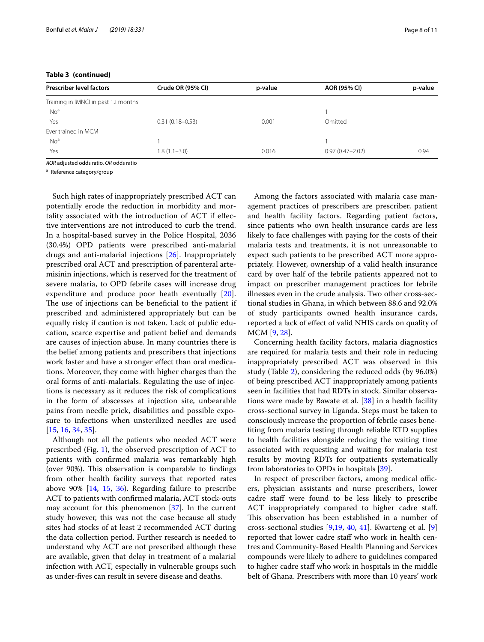## **Table 3 (continued)**

| <b>Prescriber level factors</b>     | Crude OR (95% CI)   | p-value | AOR (95% CI)        | p-value |
|-------------------------------------|---------------------|---------|---------------------|---------|
| Training in IMNCI in past 12 months |                     |         |                     |         |
| No <sup>a</sup>                     |                     |         |                     |         |
| Yes                                 | $0.31(0.18 - 0.53)$ | 0.001   | Omitted             |         |
| Ever trained in MCM                 |                     |         |                     |         |
| No <sup>a</sup>                     |                     |         |                     |         |
| Yes                                 | $1.8(1.1 - 3.0)$    | 0.016   | $0.97(0.47 - 2.02)$ | 0.94    |

*AOR* adjusted odds ratio, *OR* odds ratio

a Reference category/group

Such high rates of inappropriately prescribed ACT can potentially erode the reduction in morbidity and mortality associated with the introduction of ACT if efective interventions are not introduced to curb the trend. In a hospital-based survey in the Police Hospital, 2036 (30.4%) OPD patients were prescribed anti-malarial drugs and anti-malarial injections [\[26](#page-9-21)]. Inappropriately prescribed oral ACT and prescription of parenteral artemisinin injections, which is reserved for the treatment of severe malaria, to OPD febrile cases will increase drug expenditure and produce poor heath eventually [\[20](#page-9-14)]. The use of injections can be beneficial to the patient if prescribed and administered appropriately but can be equally risky if caution is not taken. Lack of public education, scarce expertise and patient belief and demands are causes of injection abuse. In many countries there is the belief among patients and prescribers that injections work faster and have a stronger efect than oral medications. Moreover, they come with higher charges than the oral forms of anti-malarials. Regulating the use of injections is necessary as it reduces the risk of complications in the form of abscesses at injection site, unbearable pains from needle prick, disabilities and possible exposure to infections when unsterilized needles are used [[15,](#page-9-28) [16](#page-9-29), [34](#page-9-30), [35\]](#page-9-31).

Although not all the patients who needed ACT were prescribed (Fig. [1](#page-3-0)), the observed prescription of ACT to patients with confrmed malaria was remarkably high (over 90%). This observation is comparable to findings from other health facility surveys that reported rates above 90% [[14](#page-9-10), [15](#page-9-28), [36\)](#page-9-32). Regarding failure to prescribe ACT to patients with confrmed malaria, ACT stock-outs may account for this phenomenon [[37\]](#page-9-33). In the current study however, this was not the case because all study sites had stocks of at least 2 recommended ACT during the data collection period. Further research is needed to understand why ACT are not prescribed although these are available, given that delay in treatment of a malarial infection with ACT, especially in vulnerable groups such as under-fves can result in severe disease and deaths.

Among the factors associated with malaria case management practices of prescribers are prescriber, patient and health facility factors. Regarding patient factors, since patients who own health insurance cards are less likely to face challenges with paying for the costs of their malaria tests and treatments, it is not unreasonable to expect such patients to be prescribed ACT more appropriately. However, ownership of a valid health insurance card by over half of the febrile patients appeared not to impact on prescriber management practices for febrile illnesses even in the crude analysis. Two other cross-sectional studies in Ghana, in which between 88.6 and 92.0% of study participants owned health insurance cards, reported a lack of efect of valid NHIS cards on quality of MCM [\[9](#page-9-5), [28\]](#page-9-34).

Concerning health facility factors, malaria diagnostics are required for malaria tests and their role in reducing inappropriately prescribed ACT was observed in this study (Table [2\)](#page-5-0), considering the reduced odds (by 96.0%) of being prescribed ACT inappropriately among patients seen in facilities that had RDTs in stock. Similar observations were made by Bawate et al. [[38\]](#page-9-35) in a health facility cross-sectional survey in Uganda. Steps must be taken to consciously increase the proportion of febrile cases benefting from malaria testing through reliable RTD supplies to health facilities alongside reducing the waiting time associated with requesting and waiting for malaria test results by moving RDTs for outpatients systematically from laboratories to OPDs in hospitals [[39\]](#page-9-36).

In respect of prescriber factors, among medical officers, physician assistants and nurse prescribers, lower cadre staff were found to be less likely to prescribe ACT inappropriately compared to higher cadre staff. This observation has been established in a number of cross-sectional studies [\[9](#page-9-5),[19](#page-9-13), [40,](#page-10-0) [41](#page-10-1)]. Kwarteng et al. [\[9](#page-9-5)] reported that lower cadre staff who work in health centres and Community-Based Health Planning and Services compounds were likely to adhere to guidelines compared to higher cadre staff who work in hospitals in the middle belt of Ghana. Prescribers with more than 10 years' work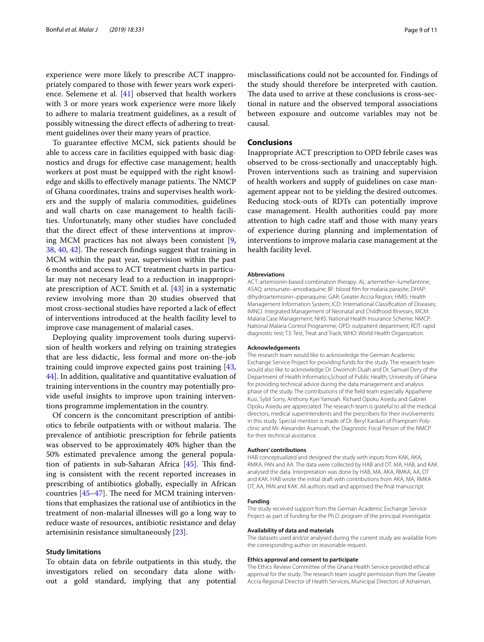experience were more likely to prescribe ACT inappropriately compared to those with fewer years work experience. Selemene et al. [\[41](#page-10-1)] observed that health workers with 3 or more years work experience were more likely to adhere to malaria treatment guidelines, as a result of possibly witnessing the direct efects of adhering to treatment guidelines over their many years of practice.

To guarantee efective MCM, sick patients should be able to access care in facilities equipped with basic diagnostics and drugs for efective case management; health workers at post must be equipped with the right knowledge and skills to effectively manage patients. The NMCP of Ghana coordinates, trains and supervises health workers and the supply of malaria commodities, guidelines and wall charts on case management to health facilities. Unfortunately, many other studies have concluded that the direct efect of these interventions at improving MCM practices has not always been consistent [\[9](#page-9-5), [38,](#page-9-35) [40](#page-10-0), [42](#page-10-2). The research findings suggest that training in MCM within the past year, supervision within the past 6 months and access to ACT treatment charts in particular may not necesary lead to a reduction in inappropriate prescription of ACT. Smith et al. [\[43](#page-10-3)] in a systematic review involving more than 20 studies observed that most cross-sectional studies have reported a lack of efect of interventions introduced at the health facility level to improve case management of malarial cases.

Deploying quality improvement tools during supervision of health workers and relying on training strategies that are less didactic, less formal and more on-the-job training could improve expected gains post training [\[43](#page-10-3), [44\]](#page-10-4). In addition, qualitative and quantitative evaluation of training interventions in the country may potentially provide useful insights to improve upon training interventions programme implementation in the country.

Of concern is the concomitant prescription of antibiotics to febrile outpatients with or without malaria. The prevalence of antibiotic prescription for febrile patients was observed to be approximately 40% higher than the 50% estimated prevalence among the general population of patients in sub-Saharan Africa  $[45]$  $[45]$ . This finding is consistent with the recent reported increases in prescribing of antibiotics globally, especially in African countries  $[45-47]$  $[45-47]$  $[45-47]$ . The need for MCM training interventions that emphasizes the rational use of antibiotics in the treatment of non-malarial illnesses will go a long way to reduce waste of resources, antibiotic resistance and delay artemisinin resistance simultaneously [[23\]](#page-9-18).

## **Study limitations**

To obtain data on febrile outpatients in this study, the investigators relied on secondary data alone without a gold standard, implying that any potential misclassifcations could not be accounted for. Findings of the study should therefore be interpreted with caution. The data used to arrive at these conclusions is cross-sectional in nature and the observed temporal associations between exposure and outcome variables may not be causal.

## **Conclusions**

Inappropriate ACT prescription to OPD febrile cases was observed to be cross-sectionally and unacceptably high. Proven interventions such as training and supervision of health workers and supply of guidelines on case management appear not to be yielding the desired outcomes. Reducing stock-outs of RDTs can potentially improve case management. Health authorities could pay more attention to high cadre staff and those with many years of experience during planning and implementation of interventions to improve malaria case management at the health facility level.

#### **Abbreviations**

ACT: artemisinin-based combination therapy; AL: artemether–lumefantrine; ASAQ: artesunate–amodiaquine; BF: blood flm for malaria parasite; DHAP: dihydroartemisinin–piperaquine; GAR: Greater Accra Region; HMIS: Health Management Information System; ICD: International Classifcation of Diseases; IMNCI: Integrated Management of Neonatal and Childhood Illnesses; MCM: Malaria Case Management; NHIS: National Health Insurance Scheme; NMCP: National Malaria Control Programme; OPD: outpatient department; RDT: rapid diagnostic test; T3: Test, Treat and Track; WHO: World Health Organization.

#### **Acknowledgements**

The research team would like to acknowledge the German Academic Exchange Service Project for providing funds for the study. The research team would also like to acknowledge Dr. Dwomoh Duah and Dr. Samuel Dery of the Department of Health Informatics,School of Public Health, University of Ghana for providing technical advice during the data management and analysis phase of the study. The contributions of the feld team especially Appaihene Kusi, Sybil Sorry, Anthony Kyei Yamoah. Richard Opoku Asiedu and Gabriel Opoku Asiedu are appreciated. The research team is grateful to all the medical directors, medical superintendents and the prescribers for their involvements in this study. Special mention is made of Dr. Beryl Karikari of Prampram Polyclinic and Mr. Alexander Asamoah, the Diagnostic Focal Person of the NMCP for their technical assistance.

#### **Authors' contributions**

HAB conceptualized and designed the study with inputs from KAK, AKA, RMKA, PAN and AA. The data were collected by HAB and DT. MA, HAB, and KAK analysed the data. Interpretation was done by HAB, MA, AKA, RMKA, AA, DT and KAK. HAB wrote the initial draft with contributions from AKA, MA, RMKA DT, AA, PAN and KAK. All authors read and approved the fnal manuscript.

#### **Funding**

The study received support from the German Academic Exchange Service Project-as part of funding for the Ph.D. program of the principal investigator.

#### **Availability of data and materials**

The datasets used and/or analysed during the current study are available from the corresponding author on reasonable request.

#### **Ethics approval and consent to participate**

The Ethics Review Committee of the Ghana Health Service provided ethical approval for the study. The research team sought permission from the Greater Accra Regional Director of Health Services, Municipal Directors of Ashaiman,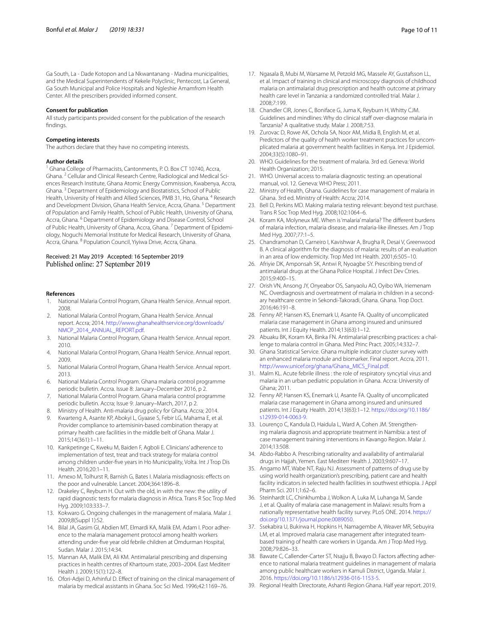Ga South, La - Dade Kotopon and La Nkwantanang - Madina municipalities, and the Medical Superintendents of Kekele Polyclinic, Pentecost, La General, Ga South Municipal and Police Hospitals and Ngleshie Amamfrom Health Center. All the prescribers provided informed consent.

#### **Consent for publication**

All study participants provided consent for the publication of the research fndings.

#### **Competing interests**

The authors declare that they have no competing interests.

#### **Author details**

<sup>1</sup> Ghana College of Pharmacists, Cantonments, P.O. Box CT 10740, Accra, Ghana. <sup>2</sup> Cellular and Clinical Research Centre, Radiological and Medical Sciences Research Institute, Ghana Atomic Energy Commission, Kwabenya, Accra, Ghana. <sup>3</sup> Department of Epidemiology and Biostatistics, School of Public Health, University of Health and Allied Sciences, PMB 31, Ho, Ghana. <sup>4</sup> Research and Development Division, Ghana Health Service, Accra, Ghana.<sup>5</sup> Department of Population and Family Health, School of Public Health, University of Ghana, Accra, Ghana. 6 Department of Epidemiology and Disease Control, School of Public Health, University of Ghana, Accra, Ghana. <sup>7</sup> Department of Epidemiology, Noguchi Memorial Institute for Medical Research, University of Ghana, Accra, Ghana. 8 Population Council, Yiyiwa Drive, Accra, Ghana.

## Received: 21 May 2019 Accepted: 16 September 2019 Published online: 27 September 2019

#### **References**

- <span id="page-9-0"></span>1. National Malaria Control Program, Ghana Health Service. Annual report. 2008.
- 2. National Malaria Control Program, Ghana Health Service. Annual report. Accra; 2014. [http://www.ghanahealthservice.org/downloads/](http://www.ghanahealthservice.org/downloads/NMCP_2014_ANNUAL_REPORT.pdf) [NMCP\\_2014\\_ANNUAL\\_REPORT.pdf.](http://www.ghanahealthservice.org/downloads/NMCP_2014_ANNUAL_REPORT.pdf)
- 3. National Malaria Control Program, Ghana Health Service. Annual report. 2010.
- <span id="page-9-9"></span>4. National Malaria Control Program, Ghana Health Service. Annual report. 2009.
- <span id="page-9-4"></span>5. National Malaria Control Program, Ghana Health Service. Annual report. 2013.
- <span id="page-9-1"></span>6. National Malaria Control Program. Ghana malaria control programme periodic bulletin. Accra. Issue 8: January–December 2016, p 2.
- <span id="page-9-2"></span>7. National Malaria Control Program. Ghana malaria control programme periodic bulletin. Accra; Issue 9: January–March, 2017, p 2.
- <span id="page-9-3"></span>8. Ministry of Health. Anti-malaria drug policy for Ghana. Accra; 2014.
- <span id="page-9-5"></span>9. Kwarteng A, Asante KP, Abokyi L, Gyaase S, Febir LG, Mahama E, et al. Provider compliance to artemisinin-based combination therapy at primary health care facilities in the middle belt of Ghana. Malar J. 2015;14(361):1–11.
- <span id="page-9-6"></span>10. Kankpetinge C, Kweku M, Baiden F, Agboli E. Clinicians' adherence to implementation of test, treat and track strategy for malaria control among children under-fve years in Ho Municipality, Volta. Int J Trop Dis Health. 2016;20:1–11.
- <span id="page-9-7"></span>11. Amexo M, Tolhurst R, Barnish G, Bates I. Malaria misdiagnosis: efects on the poor and vulnerable. Lancet. 2004;364:1896–8.
- <span id="page-9-17"></span>12. Drakeley C, Reyburn H. Out with the old, in with the new: the utility of rapid diagnostic tests for malaria diagnosis in Africa. Trans R Soc Trop Med Hyg. 2009;103:333–7.
- <span id="page-9-8"></span>13. Kokwaro G. Ongoing challenges in the management of malaria. Malar J. 2009;8(Suppl 1):S2.
- <span id="page-9-10"></span>14. Bilal JA, Gasim GI, Abdien MT, Elmardi KA, Malik EM, Adam I. Poor adherence to the malaria management protocol among health workers attending under-fve year old febrile children at Omdurman Hospital, Sudan. Malar J. 2015;14:34.
- <span id="page-9-28"></span>15. Mannan AA, Malik EM, Ali KM. Antimalarial prescribing and dispensing practices in health centres of Khartoum state, 2003–2004. East Mediterr Health J. 2009;15(1):122–8.
- <span id="page-9-29"></span>16. Ofori-Adjei D, Arhinful D. Efect of training on the clinical management of malaria by medical assistants in Ghana. Soc Sci Med. 1996;42:1169–76.
- <span id="page-9-12"></span><span id="page-9-11"></span>18. Chandler CIR, Jones C, Boniface G, Juma K, Reyburn H, Whitty CJM. Guidelines and mindlines: Why do clinical staf over-diagnose malaria in Tanzania? A qualitative study. Malar J. 2008;7:53.
- <span id="page-9-13"></span>19. Zurovac D, Rowe AK, Ochola SA, Noor AM, Midia B, English M, et al. Predictors of the quality of health worker treatment practices for uncomplicated malaria at government health facilities in Kenya. Int J Epidemiol. 2004;33(5):1080–91.
- <span id="page-9-14"></span>20. WHO. Guidelines for the treatment of malaria. 3rd ed. Geneva: World Health Organization; 2015.
- <span id="page-9-15"></span>21. WHO. Universal access to malaria diagnostic testing: an operational manual, vol. 12. Geneva: WHO Press; 2011.
- <span id="page-9-16"></span>22. Ministry of Health, Ghana. Guidelines for case management of malaria in Ghana. 3rd ed. Ministry of Health: Accra; 2014.
- <span id="page-9-18"></span>23. Bell D, Perkins MD. Making malaria testing relevant: beyond test purchase. Trans R Soc Trop Med Hyg. 2008;102:1064–6.
- <span id="page-9-19"></span>24. Koram KA, Molyneux ME. When is 'malaria' malaria? The diferent burdens of malaria infection, malaria disease, and malaria-like illnesses. Am J Trop Med Hyg. 2007;77:1–5.
- <span id="page-9-20"></span>25. Chandramohan D, Carneiro I, Kavishwar A, Brugha R, Desai V, Greenwood B. A clinical algorithm for the diagnosis of malaria: results of an evaluation in an area of low endemicity. Trop Med Int Health. 2001;6:505–10.
- <span id="page-9-21"></span>26. Afriyie DK, Amponsah SK, Antwi R, Nyoagbe SY. Prescribing trend of antimalarial drugs at the Ghana Police Hospital. J Infect Dev Ctries. 2015;9:400–15.
- <span id="page-9-27"></span>27. Orish VN, Ansong JY, Onyeabor OS, Sanyaolu AO, Oyibo WA, Iriemenam NC. Overdiagnosis and overtreatment of malaria in children in a secondary healthcare centre in Sekondi-Takoradi, Ghana. Ghana. Trop Doct. 2016;46:191–8.
- <span id="page-9-34"></span>28. Fenny AP, Hansen KS, Enemark U, Asante FA. Quality of uncomplicated malaria case management in Ghana among insured and uninsured patients. Int J Equity Health. 2014;13(63):1–12.
- <span id="page-9-22"></span>29. Abuaku BK, Koram KA, Binka FN. Antimalarial prescribing practices: a challenge to malaria control in Ghana. Med Princ Pract. 2005;14:332–7.
- <span id="page-9-23"></span>30. Ghana Statistical Service. Ghana multiple indicator cluster survey with an enhanced malaria module and biomarker. Final report. Accra, 2011. [http://www.unicef.org/ghana/Ghana\\_MICS\\_Final.pdf.](http://www.unicef.org/ghana/Ghana_MICS_Final.pdf)
- <span id="page-9-24"></span>31. Malm KL. Acute febrile illness : the role of respiratory syncytial virus and malaria in an urban pediatric population in Ghana. Accra: University of Ghana; 2011.
- <span id="page-9-25"></span>32. Fenny AP, Hansen KS, Enemark U, Asante FA. Quality of uncomplicated malaria case management in Ghana among insured and uninsured patients. Int J Equity Health. 2014;13(63):1–12. [https://doi.org/10.1186/](https://doi.org/10.1186/s12939-014-0063-9) [s12939-014-0063-9.](https://doi.org/10.1186/s12939-014-0063-9)
- <span id="page-9-26"></span>33. Lourenço C, Kandula D, Haidula L, Ward A, Cohen JM. Strengthening malaria diagnosis and appropriate treatment in Namibia: a test of case management training interventions in Kavango Region. Malar J. 2014;13:508.
- <span id="page-9-30"></span>34. Abdo-Rabbo A. Prescribing rationality and availability of antimalarial drugs in Hajjah, Yemen. East Mediterr Health J. 2003;9:607–17.
- <span id="page-9-31"></span>35. Angamo MT, Wabe NT, Raju NJ. Assessment of patterns of drug use by using world health organization's prescribing, patient care and health facility indicators in selected health facilities in southwest ethiopia. J Appl Pharm Sci. 2011;1:62–6.
- <span id="page-9-32"></span>36. Steinhardt LC, Chinkhumba J, Wolkon A, Luka M, Luhanga M, Sande J, et al. Quality of malaria case management in Malawi: results from a nationally representative health facility survey. PLoS ONE. 2014. [https://](https://doi.org/10.1371/journal.pone.0089050) [doi.org/10.1371/journal.pone.0089050](https://doi.org/10.1371/journal.pone.0089050).
- <span id="page-9-33"></span>37. Ssekabira U, Bukirwa H, Hopkins H, Namagembe A, Weaver MR, Sebuyira LM, et al. Improved malaria case management after integrated teambased training of health care workers in Uganda. Am J Trop Med Hyg. 2008;79:826–33.
- <span id="page-9-35"></span>38. Bawate C, Callender-Carter ST, Nsajju B, Bwayo D. Factors affecting adherence to national malaria treatment guidelines in management of malaria among public healthcare workers in Kamuli District, Uganda. Malar J. 2016.<https://doi.org/10.1186/s12936-016-1153-5>.
- <span id="page-9-36"></span>39. Regional Health Directorate, Ashanti Region Ghana. Half year report. 2019.